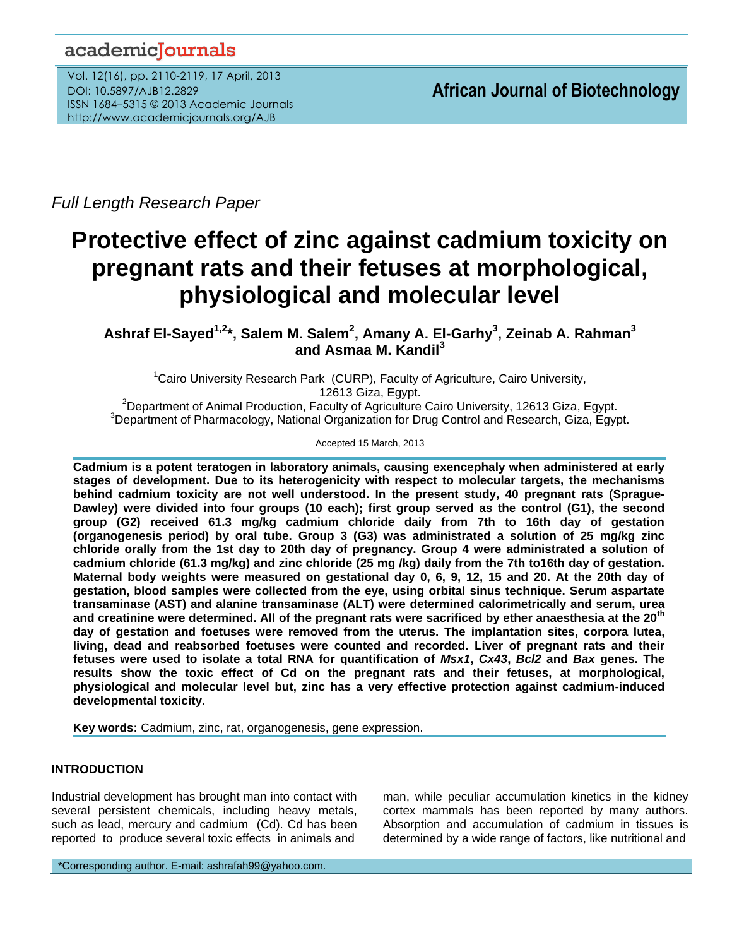# academicJournals

Vol. 12(16), pp. 2110-2119, 17 April, 2013 DOI: 10.5897/AJB12.2829 ISSN 1684–5315 © 2013 Academic Journals http://www.academicjournals.org/AJB

*Full Length Research Paper*

# **Protective effect of zinc against cadmium toxicity on pregnant rats and their fetuses at morphological, physiological and molecular level**

**Ashraf El-Sayed1,2\*, Salem M. Salem<sup>2</sup> , Amany A. El-Garhy<sup>3</sup> , Zeinab A. Rahman<sup>3</sup> and Asmaa M. Kandil<sup>3</sup>**

<sup>1</sup>Cairo University Research Park (CURP), Faculty of Agriculture, Cairo University, 12613 Giza, Egypt.

<sup>2</sup>Department of Animal Production, Faculty of Agriculture Cairo University, 12613 Giza, Egypt. <sup>3</sup>Department of Pharmacology, National Organization for Drug Control and Research, Giza, Egypt.

Accepted 15 March, 2013

**Cadmium is a potent teratogen in laboratory animals, causing exencephaly when administered at early stages of development. Due to its heterogenicity with respect to molecular targets, the mechanisms behind cadmium toxicity are not well understood. In the present study, 40 pregnant rats (Sprague-Dawley) were divided into four groups (10 each); first group served as the control (G1), the second group (G2) received 61.3 mg/kg cadmium chloride daily from 7th to 16th day of gestation (organogenesis period) by oral tube. Group 3 (G3) was administrated a solution of 25 mg/kg zinc chloride orally from the 1st day to 20th day of pregnancy. Group 4 were administrated a solution of cadmium chloride (61.3 mg/kg) and zinc chloride (25 mg /kg) daily from the 7th to16th day of gestation. Maternal body weights were measured on gestational day 0, 6, 9, 12, 15 and 20. At the 20th day of gestation, blood samples were collected from the eye, using orbital sinus technique. Serum aspartate transaminase (AST) and alanine transaminase (ALT) were determined calorimetrically and serum, urea and creatinine were determined. All of the pregnant rats were sacrificed by ether anaesthesia at the 20th day of gestation and foetuses were removed from the uterus. The implantation sites, corpora lutea, living, dead and reabsorbed foetuses were counted and recorded. Liver of pregnant rats and their fetuses were used to isolate a total RNA for quantification of** *Msx1***,** *Cx43***,** *Bcl2* **and** *Bax* **genes. The results show the toxic effect of Cd on the pregnant rats and their fetuses, at morphological, physiological and molecular level but, zinc has a very effective protection against cadmium-induced developmental toxicity.**

**Key words:** Cadmium, zinc, rat, organogenesis, gene expression.

# **INTRODUCTION**

Industrial development has brought man into contact with several persistent chemicals, including heavy metals, such as lead, mercury and cadmium (Cd). Cd has been reported to produce several toxic effects in animals and

man, while peculiar accumulation kinetics in the kidney cortex mammals has been reported by many authors. Absorption and accumulation of cadmium in tissues is determined by a wide range of factors, like nutritional and

\*Corresponding author. E-mail: ashrafah99@yahoo.com.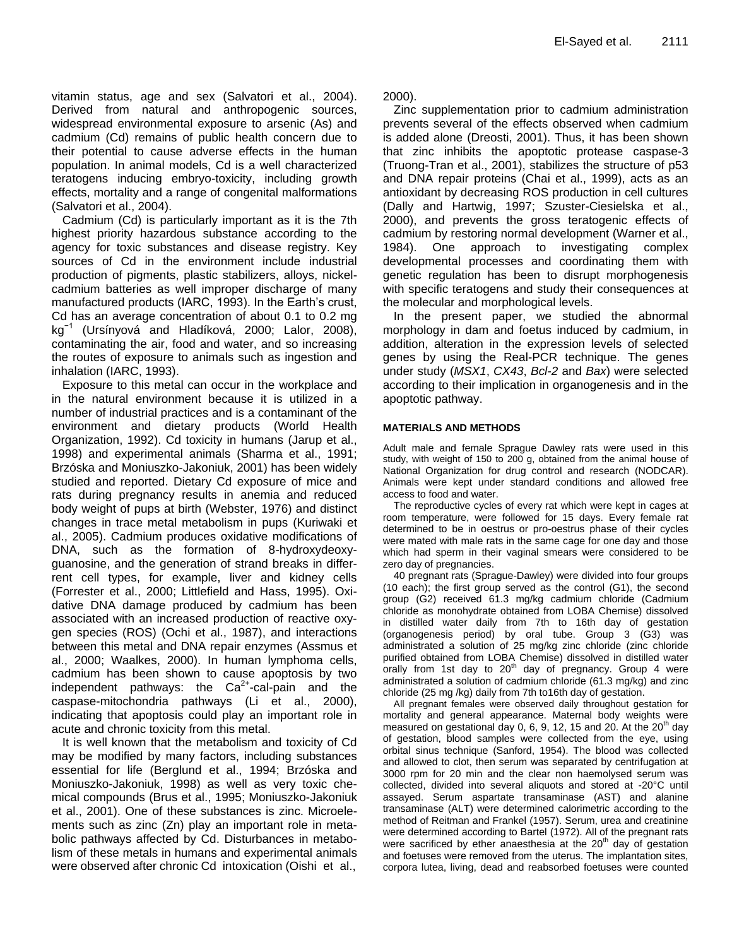vitamin status, age and sex (Salvatori et al., 2004). Derived from natural and anthropogenic sources, widespread environmental exposure to arsenic (As) and cadmium (Cd) remains of public health concern due to their potential to cause adverse effects in the human population. In animal models, Cd is a well characterized teratogens inducing embryo-toxicity, including growth effects, mortality and a range of congenital malformations (Salvatori et al., 2004).

Cadmium (Cd) is particularly important as it is the 7th highest priority hazardous substance according to the agency for toxic substances and disease registry. Key sources of Cd in the environment include industrial production of pigments, plastic stabilizers, alloys, nickelcadmium batteries as well improper discharge of many manufactured products (IARC, 1993). In the Earth's crust, Cd has an average concentration of about 0.1 to 0.2 mg kg−1 (Ursínyová and Hladíková, 2000; Lalor, 2008), contaminating the air, food and water, and so increasing the routes of exposure to animals such as ingestion and inhalation (IARC, 1993).

Exposure to this metal can occur in the workplace and in the natural environment because it is utilized in a number of industrial practices and is a contaminant of the environment and dietary products [\(World Health](http://alcalc.oxfordjournals.org/content/37/3/213.full#ref-40)  [Organization, 1992\)](http://alcalc.oxfordjournals.org/content/37/3/213.full#ref-40). Cd toxicity in humans (Jarup et al., 1998) and experimental animals [\(Sharma et al., 1991;](http://alcalc.oxfordjournals.org/content/37/3/213.full#ref-34) Brzóska and Moniuszko-Jakoniuk, [2001\)](http://alcalc.oxfordjournals.org/content/37/3/213.full#ref-9) has been widely studied and reported. Dietary Cd exposure of mice and rats during pregnancy results in anemia and reduced body weight of pups at birth (Webster, 1976) and distinct changes in trace metal metabolism in pups (Kuriwaki et al., 2005). Cadmium produces oxidative modifications of DNA, such as the formation of 8-hydroxydeoxyguanosine, and the generation of strand breaks in differrent cell types, for example, liver and kidney cells (Forrester et al., 2000; Littlefield and Hass, 1995). Oxidative DNA damage produced by cadmium has been associated with an increased production of reactive oxygen species (ROS) (Ochi et al., 1987), and interactions between this metal and DNA repair enzymes (Assmus et al., 2000; Waalkes, 2000). In human lymphoma cells, cadmium has been shown to cause apoptosis by two independent pathways: the  $Ca^{2+}$ -cal-pain and the caspase-mitochondria pathways (Li et al., 2000), indicating that apoptosis could play an important role in acute and chronic toxicity from this metal.

It is well known that the metabolism and toxicity of Cd may be modified by many factors, including substances essential for life (Berglund et al., 1994; [Brzóska and](http://alcalc.oxfordjournals.org/content/37/3/213.full#ref-6)  [Moniuszko-Jakoniuk, 1998\)](http://alcalc.oxfordjournals.org/content/37/3/213.full#ref-6) as well as very toxic chemical compounds [\(Brus et al., 1995;](http://alcalc.oxfordjournals.org/content/37/3/213.full#ref-4) [Moniuszko-Jakoniuk](http://alcalc.oxfordjournals.org/content/37/3/213.full#ref-25)  [et al., 2001\)](http://alcalc.oxfordjournals.org/content/37/3/213.full#ref-25). One of these substances is zinc. Microelements such as zinc (Zn) play an important role in metabolic pathways affected by Cd. Disturbances in metabolism of these metals in humans and experimental animals were observed after chronic Cd intoxication (Oishi et al.,

2000).

Zinc supplementation prior to cadmium administration prevents several of the effects observed when cadmium is added alone (Dreosti, 2001). Thus, it has been shown that zinc inhibits the apoptotic protease caspase-3 (Truong-Tran et al., 2001), stabilizes the structure of p53 and DNA repair proteins (Chai et al., 1999), acts as an antioxidant by decreasing ROS production in cell cultures (Dally and Hartwig, 1997; Szuster-Ciesielska et al., 2000), and prevents the gross teratogenic effects of cadmium by restoring normal development (Warner et al., 1984). One approach to investigating complex developmental processes and coordinating them with genetic regulation has been to disrupt morphogenesis with specific teratogens and study their consequences at the molecular and morphological levels.

In the present paper, we studied the abnormal morphology in dam and foetus induced by cadmium, in addition, alteration in the expression levels of selected genes by using the Real-PCR technique. The genes under study (*MSX1*, *CX43*, *Bcl-2* and *Bax*) were selected according to their implication in organogenesis and in the apoptotic pathway.

#### **MATERIALS AND METHODS**

Adult male and female Sprague Dawley rats were used in this study, with weight of 150 to 200 g, obtained from the animal house of National Organization for drug control and research (NODCAR). Animals were kept under standard conditions and allowed free access to food and water.

The reproductive cycles of every rat which were kept in cages at room temperature, were followed for 15 days. Every female rat determined to be in oestrus or pro-oestrus phase of their cycles were mated with male rats in the same cage for one day and those which had sperm in their vaginal smears were considered to be zero day of pregnancies.

40 pregnant rats (Sprague-Dawley) were divided into four groups (10 each); the first group served as the control (G1), the second group (G2) received 61.3 mg/kg cadmium chloride (Cadmium chloride as monohydrate obtained from LOBA Chemise) dissolved in distilled water daily from 7th to 16th day of gestation (organogenesis period) by oral tube. Group 3 (G3) was administrated a solution of 25 mg/kg zinc chloride (zinc chloride purified obtained from LOBA Chemise) dissolved in distilled water orally from 1st day to  $20<sup>th</sup>$  day of pregnancy. Group 4 were administrated a solution of cadmium chloride (61.3 mg/kg) and zinc chloride (25 mg /kg) daily from 7th to16th day of gestation.

All pregnant females were observed daily throughout gestation for mortality and general appearance. Maternal body weights were measured on gestational day 0, 6, 9, 12, 15 and 20. At the  $20<sup>th</sup>$  day of gestation, blood samples were collected from the eye, using orbital sinus technique (Sanford, 1954). The blood was collected and allowed to clot, then serum was separated by centrifugation at 3000 rpm for 20 min and the clear non haemolysed serum was collected, divided into several aliquots and stored at -20°C until assayed. Serum aspartate transaminase (AST) and alanine transaminase (ALT) were determined calorimetric according to the method of Reitman and Frankel (1957). Serum, urea and creatinine were determined according to Bartel (1972). All of the pregnant rats were sacrificed by ether anaesthesia at the  $20<sup>th</sup>$  day of gestation and foetuses were removed from the uterus. The implantation sites, corpora lutea, living, dead and reabsorbed foetuses were counted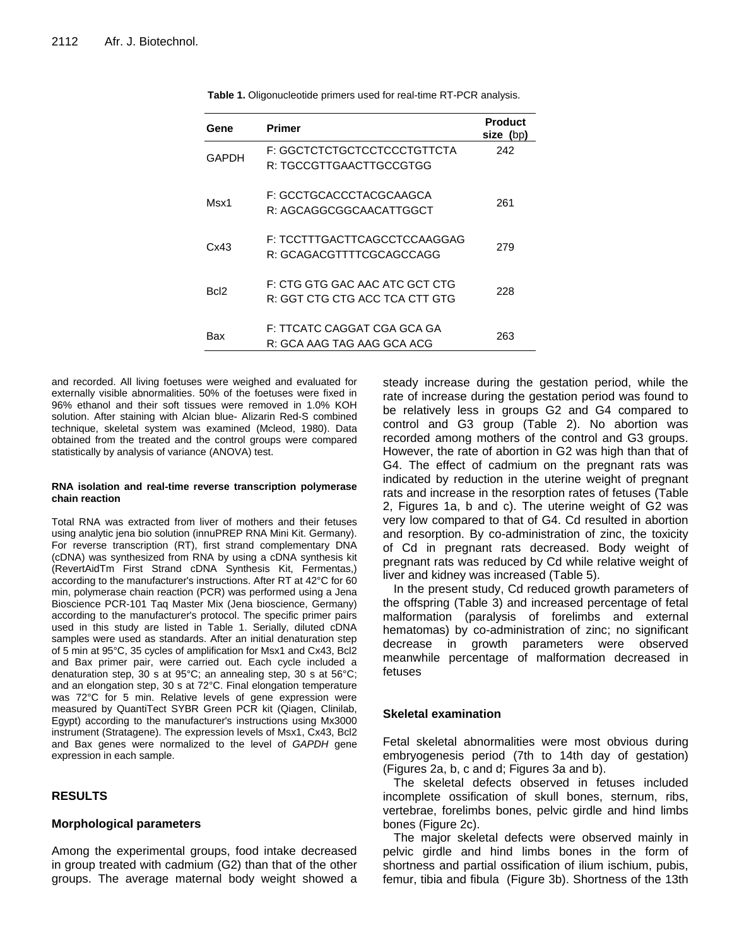| Gene  | Primer                                                           | <b>Product</b><br>size (bp) |
|-------|------------------------------------------------------------------|-----------------------------|
| GAPDH | F: GGCTCTCTGCTCCTCCCTGTTCTA<br>R: TGCCGTTGAACTTGCCGTGG           | 242                         |
| Msx1  | F: GCCTGCACCCTACGCAAGCA<br>R: AGCAGGCGGCAACATTGGCT               | 261                         |
| Cx43  | F: TCCTTTGACTTCAGCCTCCAAGGAG<br>R: GCAGACGTTTTCGCAGCCAGG         | 279                         |
| Bcl2  | F: CTG GTG GAC AAC ATC GCT CTG<br>R: GGT CTG CTG ACC TCA CTT GTG | 228                         |
| Bax   | F: TTCATC CAGGAT CGA GCA GA<br>R: GCA AAG TAG AAG GCA ACG        | 263                         |

**Table 1.** Oligonucleotide primers used for real-time RT-PCR analysis.

and recorded. All living foetuses were weighed and evaluated for externally visible abnormalities. 50% of the foetuses were fixed in 96% ethanol and their soft tissues were removed in 1.0% KOH solution. After staining with Alcian blue- Alizarin Red-S combined technique, skeletal system was examined (Mcleod, 1980). Data obtained from the treated and the control groups were compared statistically by analysis of variance (ANOVA) test.

#### **RNA isolation and real-time reverse transcription polymerase chain reaction**

Total RNA was extracted from liver of mothers and their fetuses using analytic jena bio solution (innuPREP RNA Mini Kit. Germany). For reverse transcription (RT), first strand complementary DNA (cDNA) was synthesized from RNA by using a cDNA synthesis kit (RevertAidTm First Strand cDNA Synthesis Kit, Fermentas,) according to the manufacturer's instructions. After RT at 42°C for 60 min, polymerase chain reaction (PCR) was performed using a Jena Bioscience PCR-101 Taq Master Mix (Jena bioscience, Germany) according to the manufacturer's protocol. The specific primer pairs used in this study are listed in Table 1. Serially, diluted cDNA samples were used as standards. After an initial denaturation step of 5 min at 95°C, 35 cycles of amplification for Msx1 and Cx43, Bcl2 and Bax primer pair, were carried out. Each cycle included a denaturation step, 30 s at 95°C; an annealing step, 30 s at 56°C; and an elongation step, 30 s at 72°C. Final elongation temperature was 72°C for 5 min. Relative levels of gene expression were measured by QuantiTect SYBR Green PCR kit (Qiagen, Clinilab, Egypt) according to the manufacturer's instructions using Mx3000 instrument (Stratagene). The expression levels of Msx1, Cx43, Bcl2 and Bax genes were normalized to the level of *GAPDH* gene expression in each sample.

# **RESULTS**

#### **Morphological parameters**

Among the experimental groups, food intake decreased in group treated with cadmium (G2) than that of the other groups. The average maternal body weight showed a

steady increase during the gestation period, while the rate of increase during the gestation period was found to be relatively less in groups G2 and G4 compared to control and G3 group (Table 2). No abortion was recorded among mothers of the control and G3 groups. However, the rate of abortion in G2 was high than that of G4. The effect of cadmium on the pregnant rats was indicated by reduction in the uterine weight of pregnant rats and increase in the resorption rates of fetuses (Table 2, Figures 1a, b and c). The uterine weight of G2 was very low compared to that of G4. Cd resulted in abortion and resorption. By co-administration of zinc, the toxicity of Cd in pregnant rats decreased. Body weight of pregnant rats was reduced by Cd while relative weight of liver and kidney was increased (Table 5).

In the present study, Cd reduced growth parameters of the offspring (Table 3) and increased percentage of fetal malformation (paralysis of forelimbs and external hematomas) by co-administration of zinc; no significant decrease in growth parameters were observed meanwhile percentage of malformation decreased in fetuses

# **Skeletal examination**

Fetal skeletal abnormalities were most obvious during embryogenesis period (7th to 14th day of gestation) (Figures 2a, b, c and d; Figures 3a and b).

The skeletal defects observed in fetuses included incomplete ossification of skull bones, sternum, ribs, vertebrae, forelimbs bones, pelvic girdle and hind limbs bones (Figure 2c).

The major skeletal defects were observed mainly in pelvic girdle and hind limbs bones in the form of shortness and partial ossification of ilium ischium, pubis, femur, tibia and fibula (Figure 3b). Shortness of the 13th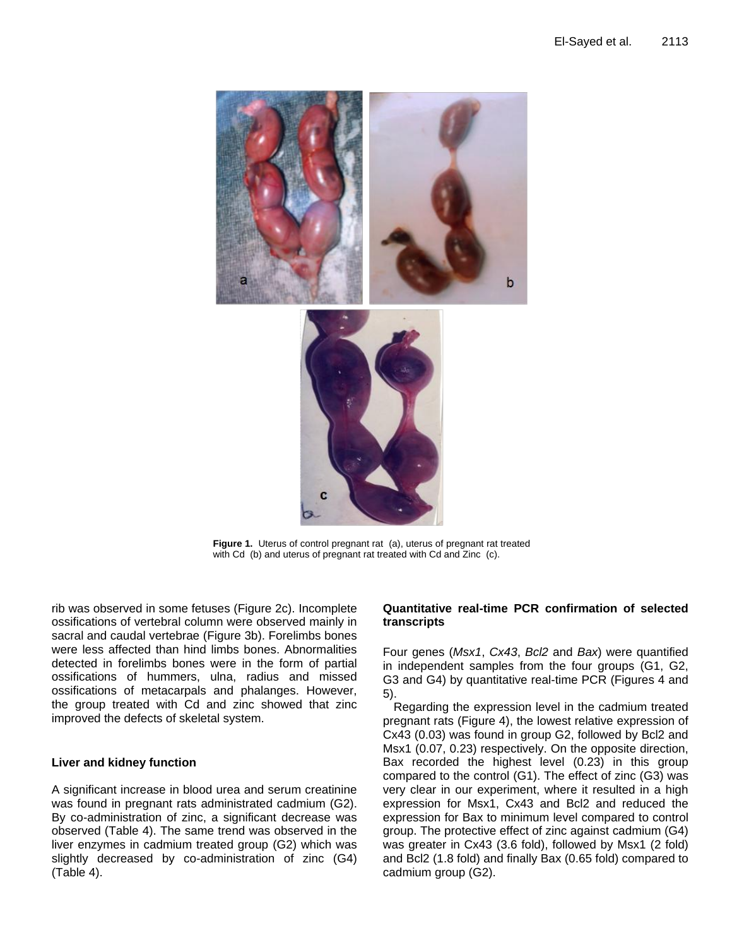

**Figure 1.** Uterus of control pregnant rat (a), uterus of pregnant rat treated with Cd (b) and uterus of pregnant rat treated with Cd and Zinc (c).

rib was observed in some fetuses (Figure 2c). Incomplete ossifications of vertebral column were observed mainly in sacral and caudal vertebrae (Figure 3b). Forelimbs bones were less affected than hind limbs bones. Abnormalities detected in forelimbs bones were in the form of partial ossifications of hummers, ulna, radius and missed ossifications of metacarpals and phalanges. However, the group treated with Cd and zinc showed that zinc improved the defects of skeletal system.

# **Liver and kidney function**

A significant increase in blood urea and serum creatinine was found in pregnant rats administrated cadmium (G2). By co-administration of zinc, a significant decrease was observed (Table 4). The same trend was observed in the liver enzymes in cadmium treated group (G2) which was slightly decreased by co-administration of zinc (G4) (Table 4).

# **Quantitative real-time PCR confirmation of selected transcripts**

Four genes (*Msx1*, *Cx43*, *Bcl2* and *Bax*) were quantified in independent samples from the four groups (G1, G2, G3 and G4) by quantitative real-time PCR (Figures 4 and 5).

Regarding the expression level in the cadmium treated pregnant rats (Figure 4), the lowest relative expression of Cx43 (0.03) was found in group G2, followed by Bcl2 and Msx1 (0.07, 0.23) respectively. On the opposite direction, Bax recorded the highest level (0.23) in this group compared to the control (G1). The effect of zinc (G3) was very clear in our experiment, where it resulted in a high expression for Msx1, Cx43 and Bcl2 and reduced the expression for Bax to minimum level compared to control group. The protective effect of zinc against cadmium (G4) was greater in Cx43 (3.6 fold), followed by Msx1 (2 fold) and Bcl2 (1.8 fold) and finally Bax (0.65 fold) compared to cadmium group (G2).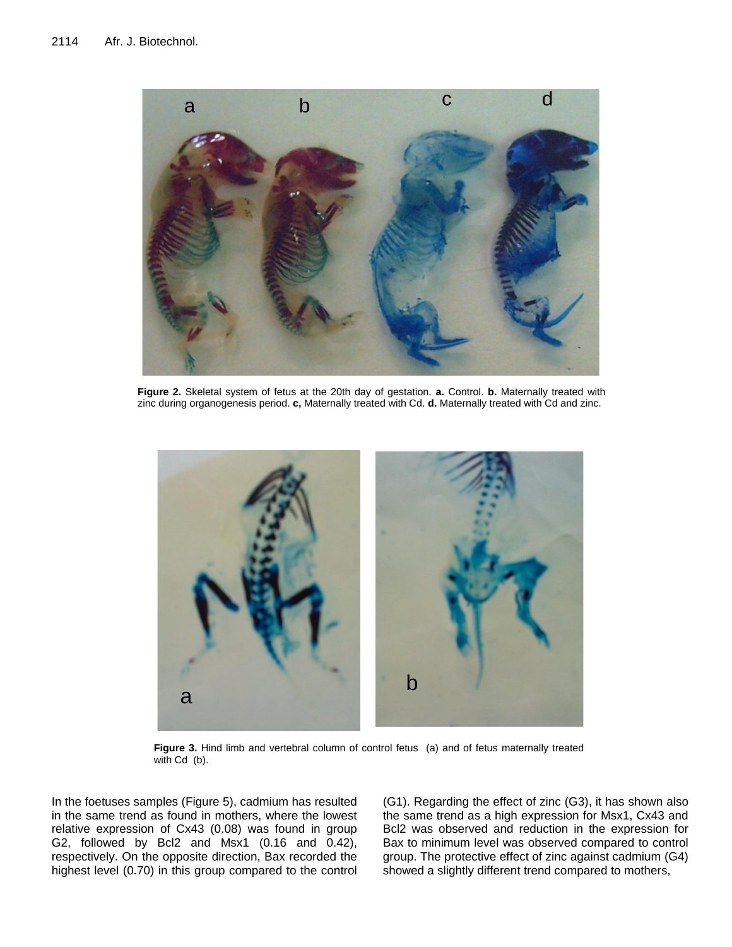

**Figure 2.** Skeletal system of fetus at the 20th day of gestation. **a.** Control. **b.** Maternally treated with zinc during organogenesis period. **c,** Maternally treated with Cd. **d.** Maternally treated with Cd and zinc.



Figure 3. Hind limb and vertebral column of control fetus (a) and of fetus maternally treated with Cd (b).

In the foetuses samples (Figure 5), cadmium has resulted in the same trend as found in mothers, where the lowest relative expression of Cx43 (0.08) was found in group G2, followed by Bcl2 and Msx1 (0.16 and 0.42), respectively. On the opposite direction, Bax recorded the highest level (0.70) in this group compared to the control

(G1). Regarding the effect of zinc (G3), it has shown also the same trend as a high expression for Msx1, Cx43 and Bcl2 was observed and reduction in the expression for Bax to minimum level was observed compared to control group. The protective effect of zinc against cadmium (G4)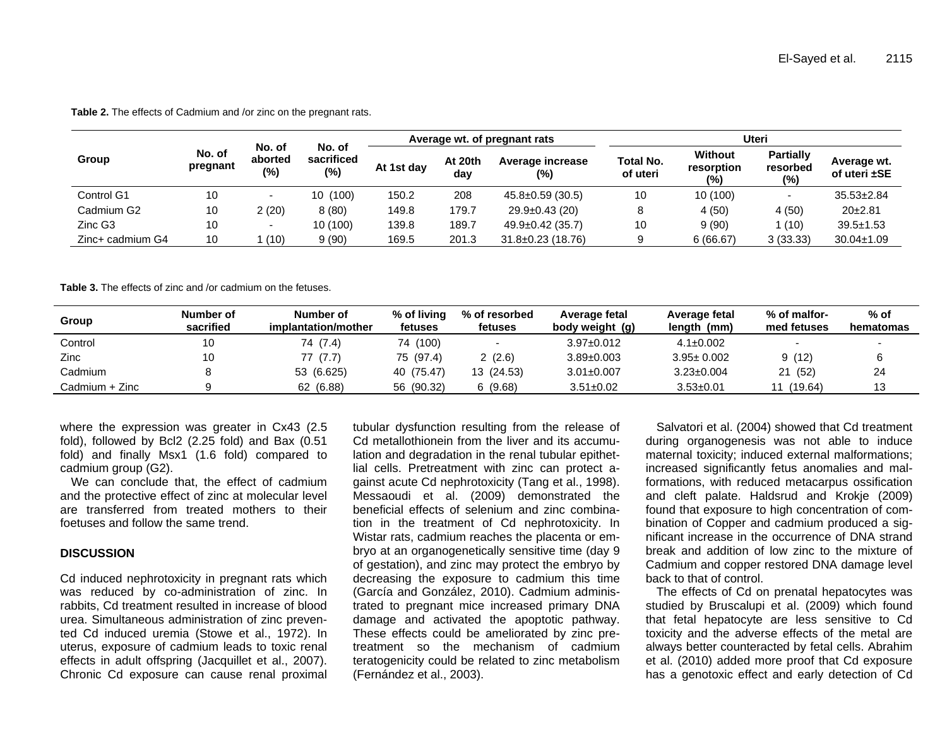|                     | No. of<br>pregnant | No. of<br>aborted<br>(%) | No. of<br>sacrificed<br>$(\%)$ | Average wt. of pregnant rats |                |                            | Uteri                        |                                     |                                     |                             |
|---------------------|--------------------|--------------------------|--------------------------------|------------------------------|----------------|----------------------------|------------------------------|-------------------------------------|-------------------------------------|-----------------------------|
| Group               |                    |                          |                                | At 1st day                   | At 20th<br>day | Average increase<br>$(\%)$ | <b>Total No.</b><br>of uteri | <b>Without</b><br>resorption<br>(%) | <b>Partially</b><br>resorbed<br>(%) | Average wt.<br>of uteri ±SE |
| Control G1          | 10                 |                          | 10 (100)                       | 150.2                        | 208            | $45.8 \pm 0.59$ (30.5)     | 10                           | 10(100)                             |                                     | $35.53 \pm 2.84$            |
| Cadmium G2          | 10                 | 2 (20)                   | 8(80)                          | 149.8                        | 179.7          | $29.9 \pm 0.43$ (20)       |                              | 4(50)                               | 4(50)                               | $20+2.81$                   |
| Zinc G <sub>3</sub> | 10                 | -                        | 10 (100)                       | 139.8                        | 189.7          | $49.9 \pm 0.42$ (35.7)     | 10                           | 9(90)                               | 1 (10)                              | $39.5 \pm 1.53$             |
| Zinc+ cadmium G4    | 10                 | (10)                     | 9(90)                          | 169.5                        | 201.3          | $31.8 \pm 0.23$ (18.76)    |                              | 6(66.67)                            | 3(33.33)                            | $30.04 \pm 1.09$            |

**Table 2.** The effects of Cadmium and /or zinc on the pregnant rats.

**Table 3.** The effects of zinc and /or cadmium on the fetuses.

| Group          | Number of<br>sacrified | Number of<br>implantation/mother | % of living<br>fetuses | % of resorbed<br>fetuses | Average fetal<br>body weight (g) | Average fetal<br>length<br>(mm) | % of malfor-<br>med fetuses | % of<br>hematomas |
|----------------|------------------------|----------------------------------|------------------------|--------------------------|----------------------------------|---------------------------------|-----------------------------|-------------------|
| Control        | 10                     | 74 (7.4)                         | 74 (100)               |                          | $3.97 \pm 0.012$                 | $4.1 \pm 0.002$                 |                             |                   |
| Zinc           | 10                     | 77 (7.7)                         | 75 (97.4)              | 2(2.6)                   | $3.89 \pm 0.003$                 | $3.95 \pm 0.002$                | 9(12)                       |                   |
| Cadmium        |                        | 53 (6.625)                       | 40 (75.47)             | 13 (24.53)               | $3.01 \pm 0.007$                 | $3.23 \pm 0.004$                | 21 (52)                     | 24                |
| Cadmium + Zinc |                        | 62 (6.88)                        | 56 (90.32)             | 6(9.68)                  | $3.51 \pm 0.02$                  | $3.53 \pm 0.01$                 | (19.64)<br>11               | 13                |

where the expression was greater in Cx43 (2.5 fold), followed by Bcl2 (2.25 fold) and Bax (0.51 fold) and finally Msx1 (1.6 fold) compared to cadmium group (G2).

We can conclude that, the effect of cadmium and the protective effect of zinc at molecular level are transferred from treated mothers to their foetuses and follow the same trend.

#### **DISCUSSION**

Cd induced nephrotoxicity in pregnant rats which was reduced by co-administration of zinc. In rabbits, Cd treatment resulted in increase of blood urea. Simultaneous administration of zinc prevented Cd induced uremia (Stowe et al., 1972). In uterus, exposure of cadmium leads to toxic renal effects in adult offspring (Jacquillet et al., 2007). Chronic Cd exposure can cause renal proximal

tubular dysfunction resulting from the release of Cd metallothionein from the liver and its accumulation and degradation in the renal tubular epithetlial cells. Pretreatment with zinc can protect against acute Cd nephrotoxicity (Tang et al., 1998). Messaoudi et al. (2009) demonstrated the beneficial effects of selenium and zinc combination in the treatment of Cd nephrotoxicity. In Wistar rats, cadmium reaches the placenta or embryo at an organogenetically sensitive time (day 9 of gestation), and zinc may protect the embryo by decreasing the exposure to cadmium this time [\(García](http://www.ncbi.nlm.nih.gov/pubmed?term=%22Garc%C3%ADa%20MT%22%5BAuthor%5D) and [González, 2010\).](http://www.ncbi.nlm.nih.gov/pubmed?term=%22Gonz%C3%A1lez%20EL%22%5BAuthor%5D) Cadmium administrated to pregnant mice increased primary DNA damage and activated the apoptotic pathway. These effects could be ameliorated by zinc pretreatment so the mechanism of cadmium teratogenicity could be related to zinc metabolism (Fernández et al., 2003).

Salvatori et al. (2004) showed that Cd treatment during organogenesis was not able to induce maternal toxicity; induced external malformations; increased significantly fetus anomalies and malformations, with reduced metacarpus ossification and cleft palate. Haldsrud and Krokje (2009) found that exposure to high concentration of combination of Copper and cadmium produced a significant increase in the occurrence of DNA strand break and addition of low zinc to the mixture of Cadmium and copper restored DNA damage level back to that of control.

The effects of Cd on prenatal hepatocytes was studied by Bruscalupi et al. (2009) which found that fetal hepatocyte are less sensitive to Cd toxicity and the adverse effects of the metal are always better counteracted by fetal cells. Abrahim et al. (2010) added more proof that Cd exposure has a genotoxic effect and early detection of Cd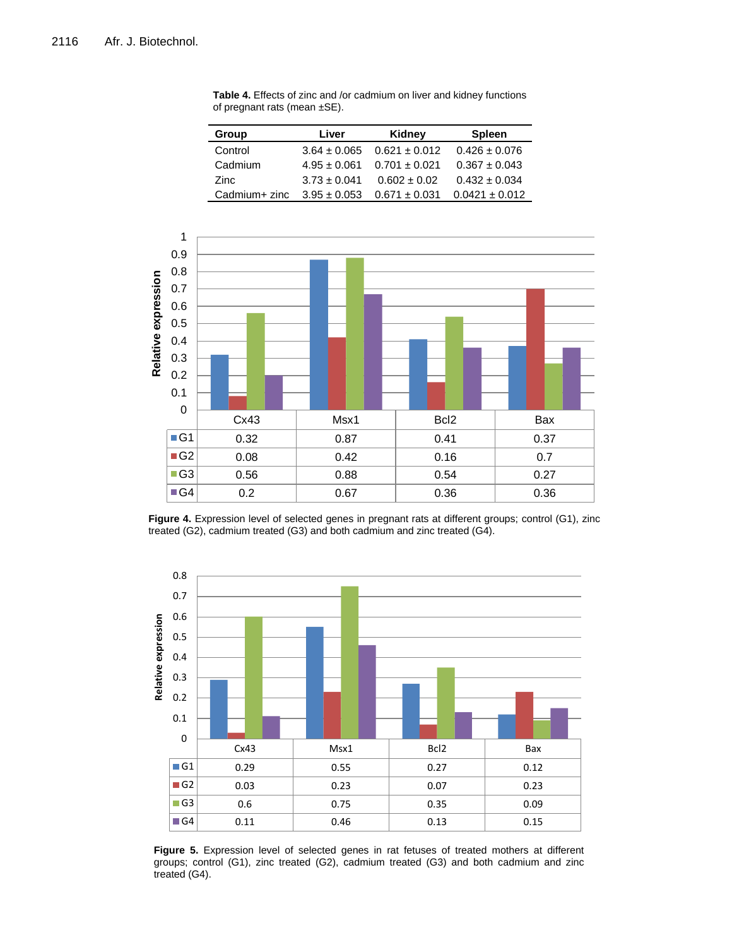| Group         | Liver            | Kidney            | <b>Spleen</b>      |
|---------------|------------------|-------------------|--------------------|
| Control       | $3.64 \pm 0.065$ | $0.621 \pm 0.012$ | $0.426 \pm 0.076$  |
| Cadmium       | $4.95 \pm 0.061$ | $0.701 \pm 0.021$ | $0.367 \pm 0.043$  |
| Zinc          | $3.73 \pm 0.041$ | $0.602 \pm 0.02$  | $0.432 \pm 0.034$  |
| Cadmium+ zinc | $3.95 \pm 0.053$ | $0.671 \pm 0.031$ | $0.0421 \pm 0.012$ |

**Table 4.** Effects of zinc and /or cadmium on liver and kidney functions of pregnant rats (mean ±SE).



**Figure 4.** Expression level of selected genes in pregnant rats at different groups; control (G1), zinc treated (G2), cadmium treated (G3) and both cadmium and zinc treated (G4).



**Figure 5.** Expression level of selected genes in rat fetuses of treated mothers at different groups; control (G1), zinc treated (G2), cadmium treated (G3) and both cadmium and zinc treated (G4).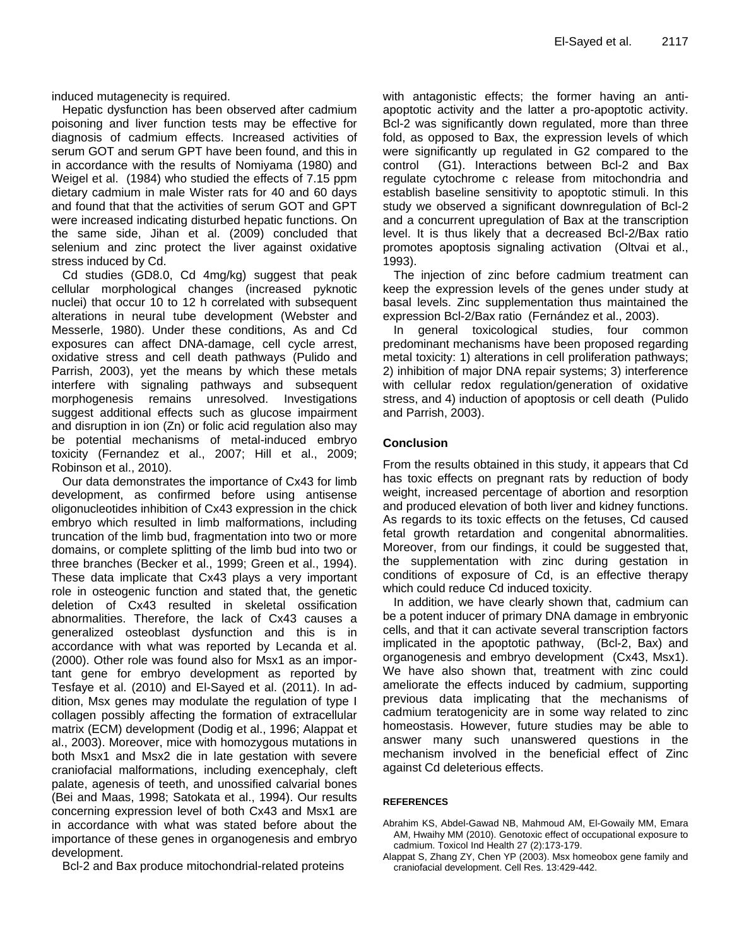induced mutagenecity is required.

Hepatic dysfunction has been observed after cadmium poisoning and liver function tests may be effective for diagnosis of cadmium effects. Increased activities of serum GOT and serum GPT have been found, and this in in accordance with the results of Nomiyama (1980) and Weigel et al. (1984) who studied the effects of 7.15 ppm dietary cadmium in male Wister rats for 40 and 60 days and found that that the activities of serum GOT and GPT were increased indicating disturbed hepatic functions. On the same side, Jihan et al. (2009) concluded that selenium and zinc protect the liver against oxidative stress induced by Cd.

Cd studies (GD8.0, Cd 4mg/kg) suggest that peak cellular morphological changes (increased pyknotic nuclei) that occur 10 to 12 h correlated with subsequent alterations in neural tube development (Webster and Messerle, 1980). Under these conditions, As and Cd exposures can affect DNA-damage, cell cycle arrest, oxidative stress and cell death pathways (Pulido and Parrish, 2003), yet the means by which these metals interfere with signaling pathways and subsequent morphogenesis remains unresolved. Investigations suggest additional effects such as glucose impairment and disruption in ion (Zn) or folic acid regulation also may be potential mechanisms of metal-induced embryo toxicity (Fernandez et al., 2007; Hill et al., 2009; Robinson et al., 2010).

Our data demonstrates the importance of Cx43 for limb development, as confirmed before using antisense oligonucleotides inhibition of Cx43 expression in the chick embryo which resulted in limb malformations, including truncation of the limb bud, fragmentation into two or more domains, or complete splitting of the limb bud into two or three branches (Becker et al., 1999; Green et al., 1994). These data implicate that Cx43 plays a very important role in osteogenic function and stated that, the genetic deletion of Cx43 resulted in skeletal ossification abnormalities. Therefore, the lack of Cx43 causes a generalized osteoblast dysfunction and this is in accordance with what was reported by Lecanda et al. (2000). Other role was found also for Msx1 as an important gene for embryo development as reported by Tesfaye et al. (2010) and El-Sayed et al. (2011). In addition, Msx genes may modulate the regulation of type I collagen possibly affecting the formation of extracellular matrix (ECM) development (Dodig et al., 1996; Alappat et al., 2003). Moreover, mice with homozygous mutations in both Msx1 and Msx2 die in late gestation with severe craniofacial malformations, including exencephaly, cleft palate, agenesis of teeth, and unossified calvarial bones (Bei and Maas, 1998; Satokata et al., 1994). Our results concerning expression level of both Cx43 and Msx1 are in accordance with what was stated before about the importance of these genes in organogenesis and embryo development.

Bcl-2 and Bax produce mitochondrial-related proteins

with antagonistic effects; the former having an antiapoptotic activity and the latter a pro-apoptotic activity. Bcl-2 was significantly down regulated, more than three fold, as opposed to Bax, the expression levels of which were significantly up regulated in G2 compared to the control (G1). Interactions between Bcl-2 and Bax regulate cytochrome c release from mitochondria and establish baseline sensitivity to apoptotic stimuli. In this study we observed a significant downregulation of Bcl-2 and a concurrent upregulation of Bax at the transcription level. It is thus likely that a decreased Bcl-2/Bax ratio promotes apoptosis signaling activation (Oltvai et al., 1993).

The injection of zinc before cadmium treatment can keep the expression levels of the genes under study at basal levels. Zinc supplementation thus maintained the expression Bcl-2/Bax ratio (Fernández et al., 2003).

In general toxicological studies, four common predominant mechanisms have been proposed regarding metal toxicity: 1) alterations in cell proliferation pathways; 2) inhibition of major DNA repair systems; 3) interference with cellular redox regulation/generation of oxidative stress, and 4) induction of apoptosis or cell death (Pulido and Parrish, 2003).

# **Conclusion**

From the results obtained in this study, it appears that Cd has toxic effects on pregnant rats by reduction of body weight, increased percentage of abortion and resorption and produced elevation of both liver and kidney functions. As regards to its toxic effects on the fetuses, Cd caused fetal growth retardation and congenital abnormalities. Moreover, from our findings, it could be suggested that, the supplementation with zinc during gestation in conditions of exposure of Cd, is an effective therapy which could reduce Cd induced toxicity.

In addition, we have clearly shown that, cadmium can be a potent inducer of primary DNA damage in embryonic cells, and that it can activate several transcription factors implicated in the apoptotic pathway, (Bcl-2, Bax) and organogenesis and embryo development (Cx43, Msx1). We have also shown that, treatment with zinc could ameliorate the effects induced by cadmium, supporting previous data implicating that the mechanisms of cadmium teratogenicity are in some way related to zinc homeostasis. However, future studies may be able to answer many such unanswered questions in the mechanism involved in the beneficial effect of Zinc against Cd deleterious effects.

#### **REFERENCES**

- Abrahim KS, Abdel-Gawad NB, [Mahmoud AM,](http://www.ncbi.nlm.nih.gov/pubmed?term=%22Mahmoud%20AM%22%5BAuthor%5D) [El-Gowaily MM,](http://www.ncbi.nlm.nih.gov/pubmed?term=%22El-Gowaily%20MM%22%5BAuthor%5D) [Emara](http://www.ncbi.nlm.nih.gov/pubmed?term=%22Emara%20AM%22%5BAuthor%5D)  [AM,](http://www.ncbi.nlm.nih.gov/pubmed?term=%22Emara%20AM%22%5BAuthor%5D) Hwaihy MM (2010). Genotoxic effect of occupational exposure to cadmium[. Toxicol Ind Health](javascript:AL_get(this,%20) 27 (2):173-179.
- Alappat S, Zhang ZY, Chen YP (2003). Msx homeobox gene family and craniofacial development. Cell Res. 13:429-442.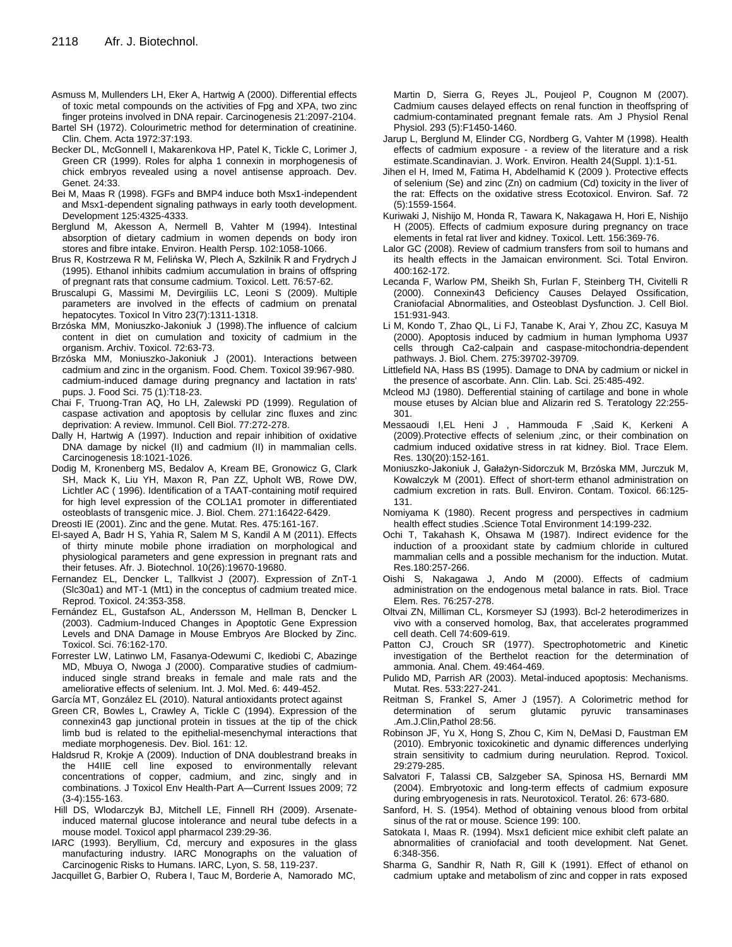- Asmuss M, Mullenders LH, Eker A, Hartwig A (2000). Differential effects of toxic metal compounds on the activities of Fpg and XPA, two zinc finger proteins involved in DNA repair. Carcinogenesis 21:2097-2104.
- Bartel SH (1972). Colourimetric method for determination of creatinine. Clin. Chem. Acta 1972:37:193.
- Becker DL, McGonnell I, Makarenkova HP, Patel K, Tickle C, Lorimer J, Green CR (1999). Roles for alpha 1 connexin in morphogenesis of chick embryos revealed using a novel antisense approach. Dev. Genet. 24:33.
- Bei M, Maas R (1998). FGFs and BMP4 induce both Msx1-independent and Msx1-dependent signaling pathways in early tooth development. Development 125:4325-4333.
- Berglund M, Akesson A, Nermell B, Vahter M (1994). Intestinal absorption of dietary cadmium in women depends on body iron stores and fibre intake. Environ. Health Persp. 102:1058-1066.
- Brus R, Kostrzewa R M, Felińska W, Plech A, Szkilnik R and Frydrych J (1995). Ethanol inhibits cadmium accumulation in brains of offspring of pregnant rats that consume cadmium. Toxicol. Lett. 76:57-62.
- [Bruscalupi G,](http://www.ncbi.nlm.nih.gov/pubmed?term=%22Bruscalupi%20G%22%5BAuthor%5D) [Massimi M,](http://www.ncbi.nlm.nih.gov/pubmed?term=%22Massimi%20M%22%5BAuthor%5D) [Devirgiliis LC,](http://www.ncbi.nlm.nih.gov/pubmed?term=%22Devirgiliis%20LC%22%5BAuthor%5D) [Leoni S](http://www.ncbi.nlm.nih.gov/pubmed?term=%22Leoni%20S%22%5BAuthor%5D) (2009). Multiple parameters are involved in the effects of cadmium on prenatal hepatocytes. [Toxicol In Vitro](javascript:AL_get(this,%20) 23(7):1311-1318.
- Brzóska MM, Moniuszko-Jakoniuk J (1998).The influence of calcium content in diet on cumulation and toxicity of cadmium in the organism. Archiv. Toxicol. 72:63-73.
- Brzóska MM, Moniuszko-Jakoniuk J (2001). Interactions between cadmium and zinc in the organism. Food. Chem. Toxicol 39:967-980. cadmium-induced damage during pregnancy and lactation in rats' pups. [J. Food Sci.](javascript:AL_get(this,%20) 75 (1):T18-23.
- Chai F, Truong-Tran AQ, Ho LH, Zalewski PD (1999). Regulation of caspase activation and apoptosis by cellular zinc fluxes and zinc deprivation: A review. Immunol. Cell Biol. 77:272-278.
- Dally H, Hartwig A (1997). Induction and repair inhibition of oxidative DNA damage by nickel (II) and cadmium (II) in mammalian cells. Carcinogenesis 18:1021-1026.
- Dodig M, Kronenberg MS, Bedalov A, Kream BE, Gronowicz G, Clark SH, Mack K, Liu YH, Maxon R, Pan ZZ, Upholt WB, Rowe DW, Lichtler AC ( 1996). Identification of a TAAT-containing motif required for high level expression of the COL1A1 promoter in differentiated osteoblasts of transgenic mice. J. Biol. Chem. 271:16422-6429.

Dreosti IE (2001). Zinc and the gene. Mutat. Res. 475:161-167.

- El-sayed A, Badr H S, Yahia R, Salem M S, Kandil A M (2011). Effects of thirty minute mobile phone irradiation on morphological and physiological parameters and gene expression in pregnant rats and their fetuses. Afr. J. Biotechnol. 10(26):19670-19680.
- Fernandez EL, Dencker L, Tallkvist J (2007). Expression of ZnT-1 (Slc30a1) and MT-1 (Mt1) in the conceptus of cadmium treated mice. Reprod. Toxicol. 24:353-358.
- [Fernández EL,](http://ukpmc.ac.uk/search/;jsessionid=8kJU0fkyhqXsVLCW219V.0?page=1&query=AUTH:%22Fern%C3%A1ndez+EL%22) [Gustafson AL,](http://ukpmc.ac.uk/search/;jsessionid=8kJU0fkyhqXsVLCW219V.0?page=1&query=AUTH:%22Gustafson+AL%22) [Andersson M,](http://ukpmc.ac.uk/search/;jsessionid=8kJU0fkyhqXsVLCW219V.0?page=1&query=AUTH:%22Andersson+M%22) [Hellman B,](http://ukpmc.ac.uk/search/;jsessionid=8kJU0fkyhqXsVLCW219V.0?page=1&query=AUTH:%22Hellman+B%22) [Dencker L](http://ukpmc.ac.uk/search/;jsessionid=8kJU0fkyhqXsVLCW219V.0?page=1&query=AUTH:%22Dencker+L%22) (2003). Cadmium-Induced Changes in Apoptotic Gene Expression Levels and DNA Damage in Mouse Embryos Are Blocked by Zinc. Toxicol. Sci. 76:162-170.
- Forrester LW, Latinwo LM, Fasanya-Odewumi C, Ikediobi C, Abazinge MD, Mbuya O, Nwoga J (2000). Comparative studies of cadmiuminduced single strand breaks in female and male rats and the ameliorative effects of selenium. Int. J. Mol. Med. 6: 449-452.

[García MT,](http://www.ncbi.nlm.nih.gov/pubmed?term=%22Garc%C3%ADa%20MT%22%5BAuthor%5D) [González EL](http://www.ncbi.nlm.nih.gov/pubmed?term=%22Gonz%C3%A1lez%20EL%22%5BAuthor%5D) (2010). Natural antioxidants protect against

- Green CR, Bowles L, Crawley A, Tickle C (1994). Expression of the connexin43 gap junctional protein in tissues at the tip of the chick limb bud is related to the epithelial-mesenchymal interactions that mediate morphogenesis. Dev. Biol. 161: 12.
- Haldsrud R, Krokje A (2009). Induction of DNA doublestrand breaks in the H4IIE cell line exposed to environmentally relevant concentrations of copper, cadmium, and zinc, singly and in combinations. J Toxicol Env Health-Part A—Current Issues 2009; 72 (3-4):155-163.
- Hill DS, Wlodarczyk BJ, Mitchell LE, Finnell RH (2009). Arsenateinduced maternal glucose intolerance and neural tube defects in a mouse model. Toxicol appl pharmacol 239:29-36.
- IARC (1993). Beryllium, Cd, mercury and exposures in the glass manufacturing industry. IARC Monographs on the valuation of Carcinogenic Risks to Humans. IARC, Lyon, S. 58, 119-237.

[Jacquillet G,](http://www.ncbi.nlm.nih.gov/pubmed?term=%22Jacquillet%20G%22%5BAuthor%5D) [Barbier O,](http://www.ncbi.nlm.nih.gov/pubmed?term=%22Barbier%20O%22%5BAuthor%5D) [Rubera I,](http://www.ncbi.nlm.nih.gov/pubmed?term=%22Rubera%20I%22%5BAuthor%5D) [Tauc M,](http://www.ncbi.nlm.nih.gov/pubmed?term=%22Tauc%20M%22%5BAuthor%5D) [Borderie A,](http://www.ncbi.nlm.nih.gov/pubmed?term=%22Borderie%20A%22%5BAuthor%5D) [Namorado MC,](http://www.ncbi.nlm.nih.gov/pubmed?term=%22Namorado%20MC%22%5BAuthor%5D)

[Martin D,](http://www.ncbi.nlm.nih.gov/pubmed?term=%22Martin%20D%22%5BAuthor%5D) [Sierra G,](http://www.ncbi.nlm.nih.gov/pubmed?term=%22Sierra%20G%22%5BAuthor%5D) [Reyes JL,](http://www.ncbi.nlm.nih.gov/pubmed?term=%22Reyes%20JL%22%5BAuthor%5D) [Poujeol P,](http://www.ncbi.nlm.nih.gov/pubmed?term=%22Poujeol%20P%22%5BAuthor%5D) Cougnon M (2007). Cadmium causes delayed effects on renal function in theoffspring of cadmium-contaminated pregnant female rats. [Am J Physiol Renal](javascript:AL_get(this,%20)  [Physiol.](javascript:AL_get(this,%20) 293 (5):F1450-1460.

- Jarup L, Berglund M, Elinder CG, Nordberg G, Vahter M (1998). Health effects of cadmium exposure - a review of the literature and a risk estimate.Scandinavian. J. Work. Environ. Health 24(Suppl. 1):1-51.
- [Jihen el H,](http://www.ncbi.nlm.nih.gov/pubmed?term=Jihen%20el%20H%5BAuthor%5D&cauthor=true&cauthor_uid=19201025) [Imed M,](http://www.ncbi.nlm.nih.gov/pubmed?term=Imed%20M%5BAuthor%5D&cauthor=true&cauthor_uid=19201025) [Fatima H,](http://www.ncbi.nlm.nih.gov/pubmed?term=Fatima%20H%5BAuthor%5D&cauthor=true&cauthor_uid=19201025) [Abdelhamid K](http://www.ncbi.nlm.nih.gov/pubmed?term=Abdelhamid%20K%5BAuthor%5D&cauthor=true&cauthor_uid=19201025) (2009 ). Protective effects of selenium (Se) and zinc (Zn) on cadmium (Cd) toxicity in the liver of the rat: Effects on the oxidative stress Ecotoxicol. Environ. Saf. [72](http://www.sciencedirect.com/science?_ob=PublicationURL&_tockey=%23TOC%236770%232009%23999279994%231130181%23FLA%23&_cdi=6770&_pubType=J&view=c&_auth=y&_acct=C000050221&_version=1&_urlVersion=0&_userid=10&md5=886c1ee19418d2dbdb0ff60604ece53e)  [\(5\)](http://www.sciencedirect.com/science?_ob=PublicationURL&_tockey=%23TOC%236770%232009%23999279994%231130181%23FLA%23&_cdi=6770&_pubType=J&view=c&_auth=y&_acct=C000050221&_version=1&_urlVersion=0&_userid=10&md5=886c1ee19418d2dbdb0ff60604ece53e):1559-1564.
- Kuriwaki J, Nishijo M, Honda R, Tawara K, Nakagawa H, Hori E, Nishijo H (2005). Effects of cadmium exposure during pregnancy on trace elements in fetal rat liver and kidney. Toxicol. Lett. 156:369-76.
- Lalor GC (2008). Review of cadmium transfers from soil to humans and its health effects in the Jamaican environment. Sci. Total Environ. 400:162-172.
- Lecanda F, Warlow PM, Sheikh Sh, Furlan F, Steinberg TH, Civitelli R (2000). Connexin43 Deficiency Causes Delayed Ossification, Craniofacial Abnormalities, and Osteoblast Dysfunction. J. Cell Biol. 151:931-943.
- Li M, Kondo T, Zhao QL, Li FJ, Tanabe K, Arai Y, Zhou ZC, Kasuya M (2000). Apoptosis induced by cadmium in human lymphoma U937 cells through Ca2-calpain and caspase-mitochondria-dependent pathways. J. Biol. Chem. 275:39702-39709.
- Littlefield NA, Hass BS (1995). Damage to DNA by cadmium or nickel in the presence of ascorbate. Ann. Clin. Lab. Sci. 25:485-492.
- Mcleod MJ (1980). Defferential staining of cartilage and bone in whole mouse etuses by Alcian blue and Alizarin red S. Teratology 22:255- 301.
- Messaoudi I,EL Heni J , Hammouda F ,Said K, Kerkeni A (2009).Protective effects of selenium ,zinc, or their combination on cadmium induced oxidative stress in rat kidney. Biol. Trace Elem. Res. 130(20):152-161.
- Moniuszko-Jakoniuk J, Gałażyn-Sidorczuk M, Brzóska MM, Jurczuk M, Kowalczyk M (2001). Effect of short-term ethanol administration on cadmium excretion in rats. Bull. Environ. Contam. Toxicol. 66:125- 131.
- Nomiyama K (1980). Recent progress and perspectives in cadmium health effect studies .Science Total Environment 14:199-232.
- Ochi T, Takahash K, Ohsawa M (1987). Indirect evidence for the induction of a prooxidant state by cadmium chloride in cultured mammalian cells and a possible mechanism for the induction. Mutat. Res.180:257-266.
- Oishi S, Nakagawa J, Ando M (2000). Effects of cadmium administration on the endogenous metal balance in rats. Biol. Trace Elem. Res. 76:257-278.
- Oltvai ZN, Milliman CL, Korsmeyer SJ (1993). Bcl-2 heterodimerizes in vivo with a conserved homolog, Bax, that accelerates programmed cell death. Cell 74:609-619.
- Patton CJ, Crouch SR (1977). Spectrophotometric and Kinetic investigation of the Berthelot reaction for the determination of ammonia. Anal. Chem. 49:464-469.
- Pulido MD, Parrish AR (2003). Metal-induced apoptosis: Mechanisms. Mutat. Res. 533:227-241.
- Reitman S, Frankel S, Amer J (1957). A Colorimetric method for determination of serum glutamic pyruvic transaminases .Am.J.Clin,Pathol 28:56.
- Robinson JF, Yu X, Hong S, Zhou C, Kim N, DeMasi D, Faustman EM (2010). Embryonic toxicokinetic and dynamic differences underlying strain sensitivity to cadmium during neurulation. Reprod. Toxicol. 29:279-285.
- Salvatori F, Talassi CB, Salzgeber SA, Spinosa HS, Bernardi MM (2004). Embryotoxic and long-term effects of cadmium exposure during embryogenesis in rats. Neurotoxicol. Teratol. 26: 673-680.
- Sanford, H. S. (1954). Method of obtaining venous blood from orbital sinus of the rat or mouse. Science 199: 100.
- Satokata I, Maas R. (1994). Msx1 deficient mice exhibit cleft palate an abnormalities of craniofacial and tooth development. Nat Genet. 6:348-356.
- Sharma G, Sandhir R, Nath R, Gill K (1991). Effect of ethanol on cadmium uptake and metabolism of zinc and copper in rats exposed